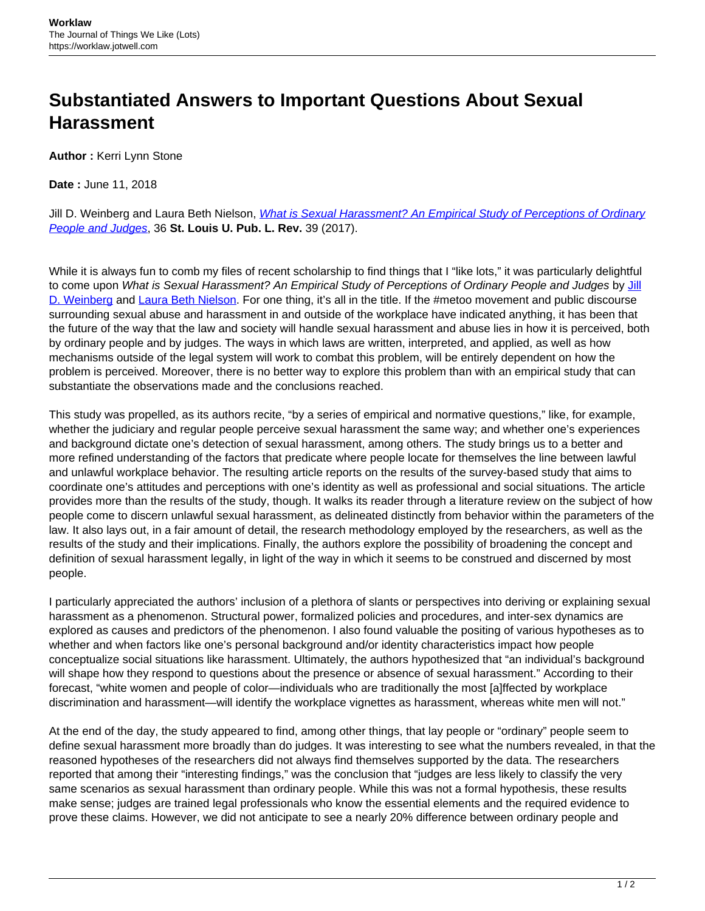## **Substantiated Answers to Important Questions About Sexual Harassment**

**Author :** Kerri Lynn Stone

**Date :** June 11, 2018

Jill D. Weinberg and Laura Beth Nielson, *[What is Sexual Harassment? An Empirical Study of Perceptions of Ordinary](http://law.slu.edu/sites/default/files/Journals/jill_weinberg-and-laura_nielsen-article.pdf)* [People and Judges](http://law.slu.edu/sites/default/files/Journals/jill_weinberg-and-laura_nielsen-article.pdf), 36 **St. Louis U. Pub. L. Rev.** 39 (2017).

While it is always fun to comb my files of recent scholarship to find things that I "like lots," it was particularly delightful to come upon What is Sexual Harassment? An Empirical Study of Perceptions of Ordinary People and Judges by [Jill](https://as.tufts.edu/sociology/people/faculty/weinberg) [D. Weinberg](https://as.tufts.edu/sociology/people/faculty/weinberg) and [Laura Beth Nielson](http://www.legalstudies.northwestern.edu/people/core/nielsen-laura-beth.html). For one thing, it's all in the title. If the #metoo movement and public discourse surrounding sexual abuse and harassment in and outside of the workplace have indicated anything, it has been that the future of the way that the law and society will handle sexual harassment and abuse lies in how it is perceived, both by ordinary people and by judges. The ways in which laws are written, interpreted, and applied, as well as how mechanisms outside of the legal system will work to combat this problem, will be entirely dependent on how the problem is perceived. Moreover, there is no better way to explore this problem than with an empirical study that can substantiate the observations made and the conclusions reached.

This study was propelled, as its authors recite, "by a series of empirical and normative questions," like, for example, whether the judiciary and regular people perceive sexual harassment the same way; and whether one's experiences and background dictate one's detection of sexual harassment, among others. The study brings us to a better and more refined understanding of the factors that predicate where people locate for themselves the line between lawful and unlawful workplace behavior. The resulting article reports on the results of the survey-based study that aims to coordinate one's attitudes and perceptions with one's identity as well as professional and social situations. The article provides more than the results of the study, though. It walks its reader through a literature review on the subject of how people come to discern unlawful sexual harassment, as delineated distinctly from behavior within the parameters of the law. It also lays out, in a fair amount of detail, the research methodology employed by the researchers, as well as the results of the study and their implications. Finally, the authors explore the possibility of broadening the concept and definition of sexual harassment legally, in light of the way in which it seems to be construed and discerned by most people.

I particularly appreciated the authors' inclusion of a plethora of slants or perspectives into deriving or explaining sexual harassment as a phenomenon. Structural power, formalized policies and procedures, and inter-sex dynamics are explored as causes and predictors of the phenomenon. I also found valuable the positing of various hypotheses as to whether and when factors like one's personal background and/or identity characteristics impact how people conceptualize social situations like harassment. Ultimately, the authors hypothesized that "an individual's background will shape how they respond to questions about the presence or absence of sexual harassment." According to their forecast, "white women and people of color—individuals who are traditionally the most [a]ffected by workplace discrimination and harassment—will identify the workplace vignettes as harassment, whereas white men will not."

At the end of the day, the study appeared to find, among other things, that lay people or "ordinary" people seem to define sexual harassment more broadly than do judges. It was interesting to see what the numbers revealed, in that the reasoned hypotheses of the researchers did not always find themselves supported by the data. The researchers reported that among their "interesting findings," was the conclusion that "judges are less likely to classify the very same scenarios as sexual harassment than ordinary people. While this was not a formal hypothesis, these results make sense; judges are trained legal professionals who know the essential elements and the required evidence to prove these claims. However, we did not anticipate to see a nearly 20% difference between ordinary people and